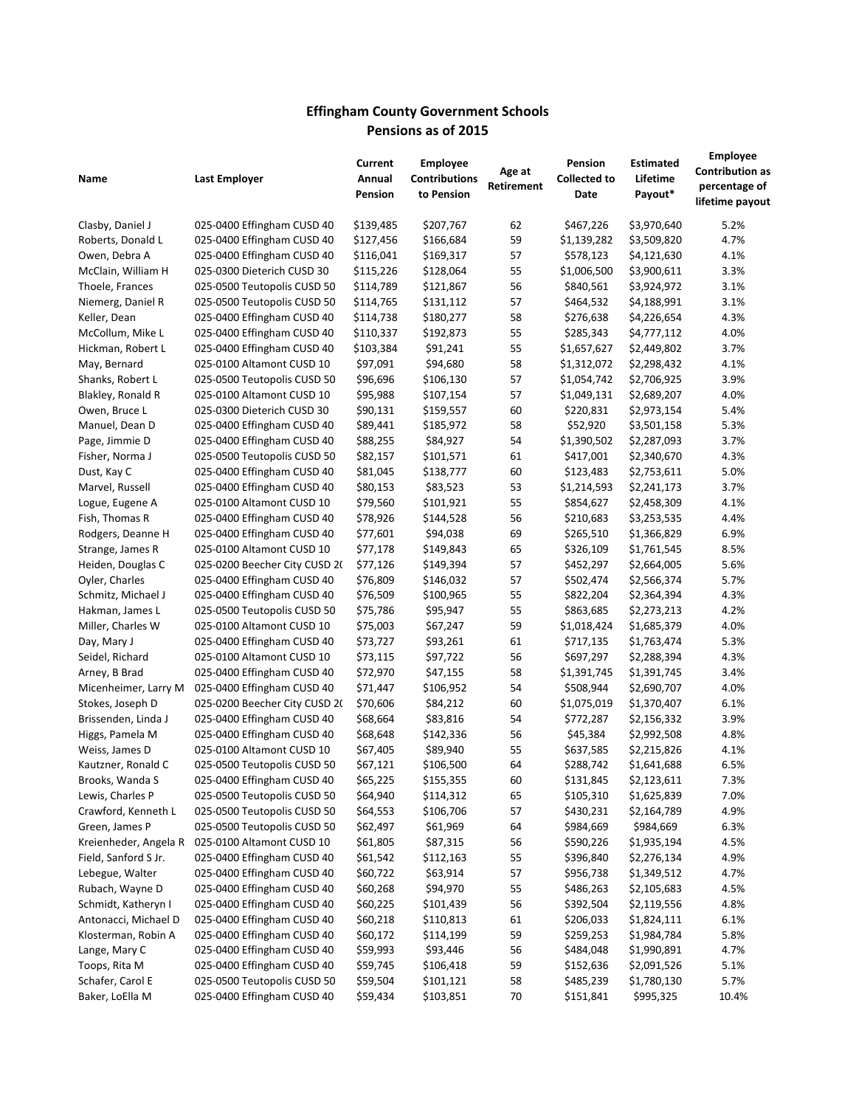## **Effingham County Government Schools Pensions as of 2015**

|                       |                                                          | Current               | <b>Employee</b>        | Age at     | Pension             | Estimated                  | <b>Employee</b><br><b>Contribution as</b> |
|-----------------------|----------------------------------------------------------|-----------------------|------------------------|------------|---------------------|----------------------------|-------------------------------------------|
| Name                  | Last Employer                                            | Annual                | <b>Contributions</b>   | Retirement | <b>Collected to</b> | Lifetime                   | percentage of                             |
|                       |                                                          | Pension               | to Pension             |            | Date                | Payout*                    | lifetime payout                           |
|                       |                                                          |                       |                        |            |                     |                            |                                           |
| Clasby, Daniel J      | 025-0400 Effingham CUSD 40                               | \$139,485             | \$207,767              | 62         | \$467,226           | \$3,970,640                | 5.2%                                      |
| Roberts, Donald L     | 025-0400 Effingham CUSD 40<br>025-0400 Effingham CUSD 40 | \$127,456             | \$166,684              | 59<br>57   | \$1,139,282         | \$3,509,820<br>\$4,121,630 | 4.7%<br>4.1%                              |
| Owen, Debra A         |                                                          | \$116,041             | \$169,317              |            | \$578,123           |                            |                                           |
| McClain, William H    | 025-0300 Dieterich CUSD 30                               | \$115,226             | \$128,064              | 55<br>56   | \$1,006,500         | \$3,900,611                | 3.3%                                      |
| Thoele, Frances       | 025-0500 Teutopolis CUSD 50                              | \$114,789             | \$121,867              |            | \$840,561           | \$3,924,972                | 3.1%                                      |
| Niemerg, Daniel R     | 025-0500 Teutopolis CUSD 50                              | \$114,765             | \$131,112<br>\$180,277 | 57         | \$464,532           | \$4,188,991<br>\$4,226,654 | 3.1%                                      |
| Keller, Dean          | 025-0400 Effingham CUSD 40                               | \$114,738             |                        | 58         | \$276,638           |                            | 4.3%                                      |
| McCollum, Mike L      | 025-0400 Effingham CUSD 40<br>025-0400 Effingham CUSD 40 | \$110,337             | \$192,873              | 55         | \$285,343           | \$4,777,112                | 4.0%                                      |
| Hickman, Robert L     | 025-0100 Altamont CUSD 10                                | \$103,384<br>\$97,091 | \$91,241<br>\$94,680   | 55<br>58   | \$1,657,627         | \$2,449,802<br>\$2,298,432 | 3.7%<br>4.1%                              |
| May, Bernard          |                                                          |                       |                        |            | \$1,312,072         |                            |                                           |
| Shanks, Robert L      | 025-0500 Teutopolis CUSD 50                              | \$96,696              | \$106,130              | 57         | \$1,054,742         | \$2,706,925                | 3.9%                                      |
| Blakley, Ronald R     | 025-0100 Altamont CUSD 10                                | \$95,988              | \$107,154              | 57         | \$1,049,131         | \$2,689,207                | 4.0%                                      |
| Owen, Bruce L         | 025-0300 Dieterich CUSD 30                               | \$90,131              | \$159,557              | 60<br>58   | \$220,831           | \$2,973,154                | 5.4%                                      |
| Manuel, Dean D        | 025-0400 Effingham CUSD 40                               | \$89,441              | \$185,972              |            | \$52,920            | \$3,501,158                | 5.3%                                      |
| Page, Jimmie D        | 025-0400 Effingham CUSD 40                               | \$88,255              | \$84,927               | 54         | \$1,390,502         | \$2,287,093                | 3.7%                                      |
| Fisher, Norma J       | 025-0500 Teutopolis CUSD 50                              | \$82,157              | \$101,571              | 61         | \$417,001           | \$2,340,670                | 4.3%                                      |
| Dust, Kay C           | 025-0400 Effingham CUSD 40                               | \$81,045              | \$138,777              | 60         | \$123,483           | \$2,753,611                | 5.0%                                      |
| Marvel, Russell       | 025-0400 Effingham CUSD 40                               | \$80,153              | \$83,523               | 53         | \$1,214,593         | \$2,241,173                | 3.7%                                      |
| Logue, Eugene A       | 025-0100 Altamont CUSD 10                                | \$79,560              | \$101,921              | 55         | \$854,627           | \$2,458,309                | 4.1%                                      |
| Fish, Thomas R        | 025-0400 Effingham CUSD 40                               | \$78,926              | \$144,528              | 56         | \$210,683           | \$3,253,535                | 4.4%                                      |
| Rodgers, Deanne H     | 025-0400 Effingham CUSD 40                               | \$77,601              | \$94,038               | 69         | \$265,510           | \$1,366,829                | 6.9%                                      |
| Strange, James R      | 025-0100 Altamont CUSD 10                                | \$77,178              | \$149,843              | 65         | \$326,109           | \$1,761,545                | 8.5%                                      |
| Heiden, Douglas C     | 025-0200 Beecher City CUSD 20                            | \$77,126              | \$149,394              | 57         | \$452,297           | \$2,664,005                | 5.6%                                      |
| Oyler, Charles        | 025-0400 Effingham CUSD 40                               | \$76,809              | \$146,032              | 57         | \$502,474           | \$2,566,374                | 5.7%                                      |
| Schmitz, Michael J    | 025-0400 Effingham CUSD 40                               | \$76,509              | \$100,965              | 55         | \$822,204           | \$2,364,394                | 4.3%                                      |
| Hakman, James L       | 025-0500 Teutopolis CUSD 50                              | \$75,786              | \$95,947               | 55         | \$863,685           | \$2,273,213                | 4.2%                                      |
| Miller, Charles W     | 025-0100 Altamont CUSD 10                                | \$75,003              | \$67,247               | 59         | \$1,018,424         | \$1,685,379                | 4.0%                                      |
| Day, Mary J           | 025-0400 Effingham CUSD 40                               | \$73,727              | \$93,261               | 61         | \$717,135           | \$1,763,474                | 5.3%                                      |
| Seidel, Richard       | 025-0100 Altamont CUSD 10                                | \$73,115              | \$97,722               | 56         | \$697,297           | \$2,288,394                | 4.3%                                      |
| Arney, B Brad         | 025-0400 Effingham CUSD 40                               | \$72,970              | \$47,155               | 58         | \$1,391,745         | \$1,391,745                | 3.4%                                      |
| Micenheimer, Larry M  | 025-0400 Effingham CUSD 40                               | \$71,447              | \$106,952              | 54         | \$508,944           | \$2,690,707                | 4.0%                                      |
| Stokes, Joseph D      | 025-0200 Beecher City CUSD 20                            | \$70,606              | \$84,212               | 60         | \$1,075,019         | \$1,370,407                | 6.1%                                      |
| Brissenden, Linda J   | 025-0400 Effingham CUSD 40                               | \$68,664              | \$83,816               | 54         | \$772,287           | \$2,156,332                | 3.9%                                      |
| Higgs, Pamela M       | 025-0400 Effingham CUSD 40                               | \$68,648              | \$142,336              | 56         | \$45,384            | \$2,992,508                | 4.8%                                      |
| Weiss, James D        | 025-0100 Altamont CUSD 10                                | \$67,405              | \$89,940               | 55         | \$637,585           | \$2,215,826                | 4.1%                                      |
| Kautzner, Ronald C    | 025-0500 Teutopolis CUSD 50                              | \$67,121              | \$106,500              | 64         | \$288,742           | \$1,641,688                | 6.5%                                      |
| Brooks, Wanda S       | 025-0400 Effingham CUSD 40                               | \$65,225              | \$155,355              | 60         | \$131,845           | \$2,123,611                | 7.3%                                      |
| Lewis, Charles P      | 025-0500 Teutopolis CUSD 50                              | \$64,940              | \$114,312              | 65         | \$105,310           | \$1,625,839                | 7.0%                                      |
| Crawford, Kenneth L   | 025-0500 Teutopolis CUSD 50                              | \$64,553              | \$106,706              | 57         | \$430,231           | \$2,164,789                | 4.9%                                      |
| Green, James P        | 025-0500 Teutopolis CUSD 50                              | \$62,497              | \$61,969               | 64         | \$984,669           | \$984,669                  | 6.3%                                      |
| Kreienheder, Angela R | 025-0100 Altamont CUSD 10                                | \$61,805              | \$87,315               | 56         | \$590,226           | \$1,935,194                | 4.5%                                      |
| Field, Sanford S Jr.  | 025-0400 Effingham CUSD 40                               | \$61,542              | \$112,163              | 55         | \$396,840           | \$2,276,134                | 4.9%                                      |
| Lebegue, Walter       | 025-0400 Effingham CUSD 40                               | \$60,722              | \$63,914               | 57         | \$956,738           | \$1,349,512                | 4.7%                                      |
| Rubach, Wayne D       | 025-0400 Effingham CUSD 40                               | \$60,268              | \$94,970               | 55         | \$486,263           | \$2,105,683                | 4.5%                                      |
| Schmidt, Katheryn I   | 025-0400 Effingham CUSD 40                               | \$60,225              | \$101,439              | 56         | \$392,504           | \$2,119,556                | 4.8%                                      |
| Antonacci, Michael D  | 025-0400 Effingham CUSD 40                               | \$60,218              | \$110,813              | 61         | \$206,033           | \$1,824,111                | 6.1%                                      |
| Klosterman, Robin A   | 025-0400 Effingham CUSD 40                               | \$60,172              | \$114,199              | 59         | \$259,253           | \$1,984,784                | 5.8%                                      |
| Lange, Mary C         | 025-0400 Effingham CUSD 40                               | \$59,993              | \$93,446               | 56         | \$484,048           | \$1,990,891                | 4.7%                                      |
| Toops, Rita M         | 025-0400 Effingham CUSD 40                               | \$59,745              | \$106,418              | 59         | \$152,636           | \$2,091,526                | 5.1%                                      |
| Schafer, Carol E      | 025-0500 Teutopolis CUSD 50                              | \$59,504              | \$101,121              | 58         | \$485,239           | \$1,780,130                | 5.7%                                      |
| Baker, LoElla M       | 025-0400 Effingham CUSD 40                               | \$59,434              | \$103,851              | 70         | \$151,841           | \$995,325                  | 10.4%                                     |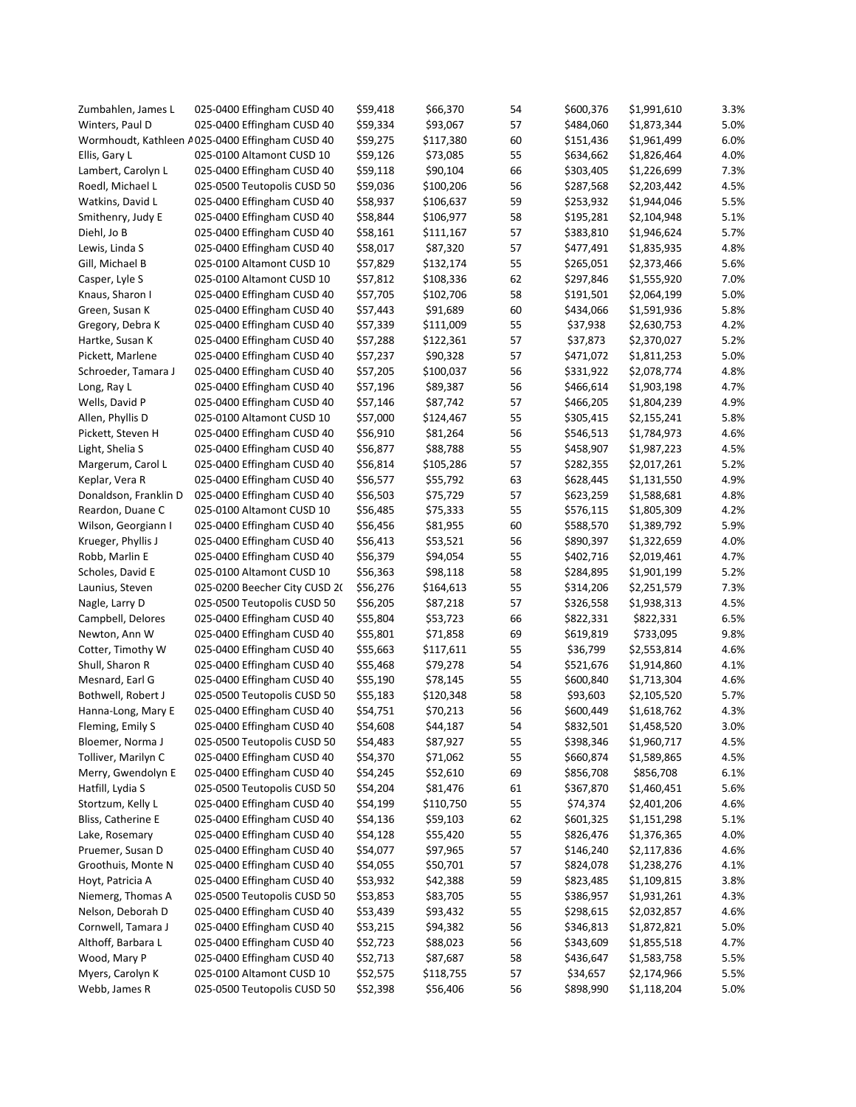| Zumbahlen, James L    | 025-0400 Effingham CUSD 40                      | \$59,418 | \$66,370  | 54 | \$600,376 | \$1,991,610 | 3.3% |
|-----------------------|-------------------------------------------------|----------|-----------|----|-----------|-------------|------|
| Winters, Paul D       | 025-0400 Effingham CUSD 40                      | \$59,334 | \$93,067  | 57 | \$484,060 | \$1,873,344 | 5.0% |
|                       | Wormhoudt, Kathleen A025-0400 Effingham CUSD 40 | \$59,275 | \$117,380 | 60 | \$151,436 | \$1,961,499 | 6.0% |
| Ellis, Gary L         | 025-0100 Altamont CUSD 10                       | \$59,126 | \$73,085  | 55 | \$634,662 | \$1,826,464 | 4.0% |
| Lambert, Carolyn L    | 025-0400 Effingham CUSD 40                      | \$59,118 | \$90,104  | 66 | \$303,405 | \$1,226,699 | 7.3% |
| Roedl, Michael L      | 025-0500 Teutopolis CUSD 50                     | \$59,036 | \$100,206 | 56 | \$287,568 | \$2,203,442 | 4.5% |
| Watkins, David L      | 025-0400 Effingham CUSD 40                      | \$58,937 | \$106,637 | 59 | \$253,932 | \$1,944,046 | 5.5% |
| Smithenry, Judy E     | 025-0400 Effingham CUSD 40                      | \$58,844 | \$106,977 | 58 | \$195,281 | \$2,104,948 | 5.1% |
| Diehl, Jo B           | 025-0400 Effingham CUSD 40                      | \$58,161 | \$111,167 | 57 | \$383,810 | \$1,946,624 | 5.7% |
| Lewis, Linda S        | 025-0400 Effingham CUSD 40                      | \$58,017 | \$87,320  | 57 | \$477,491 | \$1,835,935 | 4.8% |
| Gill, Michael B       | 025-0100 Altamont CUSD 10                       | \$57,829 | \$132,174 | 55 | \$265,051 | \$2,373,466 | 5.6% |
| Casper, Lyle S        | 025-0100 Altamont CUSD 10                       | \$57,812 | \$108,336 | 62 | \$297,846 | \$1,555,920 | 7.0% |
| Knaus, Sharon I       | 025-0400 Effingham CUSD 40                      | \$57,705 | \$102,706 | 58 | \$191,501 | \$2,064,199 | 5.0% |
| Green, Susan K        | 025-0400 Effingham CUSD 40                      | \$57,443 | \$91,689  | 60 | \$434,066 | \$1,591,936 | 5.8% |
| Gregory, Debra K      | 025-0400 Effingham CUSD 40                      | \$57,339 | \$111,009 | 55 | \$37,938  | \$2,630,753 | 4.2% |
| Hartke, Susan K       | 025-0400 Effingham CUSD 40                      | \$57,288 | \$122,361 | 57 | \$37,873  | \$2,370,027 | 5.2% |
|                       |                                                 |          |           |    |           |             | 5.0% |
| Pickett, Marlene      | 025-0400 Effingham CUSD 40                      | \$57,237 | \$90,328  | 57 | \$471,072 | \$1,811,253 |      |
| Schroeder, Tamara J   | 025-0400 Effingham CUSD 40                      | \$57,205 | \$100,037 | 56 | \$331,922 | \$2,078,774 | 4.8% |
| Long, Ray L           | 025-0400 Effingham CUSD 40                      | \$57,196 | \$89,387  | 56 | \$466,614 | \$1,903,198 | 4.7% |
| Wells, David P        | 025-0400 Effingham CUSD 40                      | \$57,146 | \$87,742  | 57 | \$466,205 | \$1,804,239 | 4.9% |
| Allen, Phyllis D      | 025-0100 Altamont CUSD 10                       | \$57,000 | \$124,467 | 55 | \$305,415 | \$2,155,241 | 5.8% |
| Pickett, Steven H     | 025-0400 Effingham CUSD 40                      | \$56,910 | \$81,264  | 56 | \$546,513 | \$1,784,973 | 4.6% |
| Light, Shelia S       | 025-0400 Effingham CUSD 40                      | \$56,877 | \$88,788  | 55 | \$458,907 | \$1,987,223 | 4.5% |
| Margerum, Carol L     | 025-0400 Effingham CUSD 40                      | \$56,814 | \$105,286 | 57 | \$282,355 | \$2,017,261 | 5.2% |
| Keplar, Vera R        | 025-0400 Effingham CUSD 40                      | \$56,577 | \$55,792  | 63 | \$628,445 | \$1,131,550 | 4.9% |
| Donaldson, Franklin D | 025-0400 Effingham CUSD 40                      | \$56,503 | \$75,729  | 57 | \$623,259 | \$1,588,681 | 4.8% |
| Reardon, Duane C      | 025-0100 Altamont CUSD 10                       | \$56,485 | \$75,333  | 55 | \$576,115 | \$1,805,309 | 4.2% |
| Wilson, Georgiann I   | 025-0400 Effingham CUSD 40                      | \$56,456 | \$81,955  | 60 | \$588,570 | \$1,389,792 | 5.9% |
| Krueger, Phyllis J    | 025-0400 Effingham CUSD 40                      | \$56,413 | \$53,521  | 56 | \$890,397 | \$1,322,659 | 4.0% |
| Robb, Marlin E        | 025-0400 Effingham CUSD 40                      | \$56,379 | \$94,054  | 55 | \$402,716 | \$2,019,461 | 4.7% |
| Scholes, David E      | 025-0100 Altamont CUSD 10                       | \$56,363 | \$98,118  | 58 | \$284,895 | \$1,901,199 | 5.2% |
| Launius, Steven       | 025-0200 Beecher City CUSD 20                   | \$56,276 | \$164,613 | 55 | \$314,206 | \$2,251,579 | 7.3% |
| Nagle, Larry D        | 025-0500 Teutopolis CUSD 50                     | \$56,205 | \$87,218  | 57 | \$326,558 | \$1,938,313 | 4.5% |
| Campbell, Delores     | 025-0400 Effingham CUSD 40                      | \$55,804 | \$53,723  | 66 | \$822,331 | \$822,331   | 6.5% |
| Newton, Ann W         | 025-0400 Effingham CUSD 40                      | \$55,801 | \$71,858  | 69 | \$619,819 | \$733,095   | 9.8% |
| Cotter, Timothy W     | 025-0400 Effingham CUSD 40                      | \$55,663 | \$117,611 | 55 | \$36,799  | \$2,553,814 | 4.6% |
| Shull, Sharon R       | 025-0400 Effingham CUSD 40                      | \$55,468 | \$79,278  | 54 | \$521,676 | \$1,914,860 | 4.1% |
| Mesnard, Earl G       | 025-0400 Effingham CUSD 40                      | \$55,190 | \$78,145  | 55 | \$600,840 | \$1,713,304 | 4.6% |
| Bothwell, Robert J    | 025-0500 Teutopolis CUSD 50                     | \$55,183 | \$120,348 | 58 | \$93,603  | \$2,105,520 | 5.7% |
| Hanna-Long, Mary E    | 025-0400 Effingham CUSD 40                      | \$54,751 | \$70,213  | 56 | \$600,449 | \$1,618,762 | 4.3% |
| Fleming, Emily S      | 025-0400 Effingham CUSD 40                      | \$54,608 | \$44,187  | 54 | \$832,501 | \$1,458,520 | 3.0% |
| Bloemer, Norma J      | 025-0500 Teutopolis CUSD 50                     | \$54,483 | \$87,927  | 55 | \$398,346 | \$1,960,717 | 4.5% |
| Tolliver, Marilyn C   | 025-0400 Effingham CUSD 40                      | \$54,370 | \$71,062  | 55 | \$660,874 | \$1,589,865 | 4.5% |
| Merry, Gwendolyn E    | 025-0400 Effingham CUSD 40                      | \$54,245 | \$52,610  | 69 | \$856,708 | \$856,708   | 6.1% |
| Hatfill, Lydia S      | 025-0500 Teutopolis CUSD 50                     | \$54,204 | \$81,476  | 61 | \$367,870 | \$1,460,451 | 5.6% |
| Stortzum, Kelly L     | 025-0400 Effingham CUSD 40                      | \$54,199 | \$110,750 | 55 | \$74,374  | \$2,401,206 | 4.6% |
| Bliss, Catherine E    | 025-0400 Effingham CUSD 40                      |          | \$59,103  | 62 | \$601,325 |             | 5.1% |
|                       |                                                 | \$54,136 |           |    |           | \$1,151,298 |      |
| Lake, Rosemary        | 025-0400 Effingham CUSD 40                      | \$54,128 | \$55,420  | 55 | \$826,476 | \$1,376,365 | 4.0% |
| Pruemer, Susan D      | 025-0400 Effingham CUSD 40                      | \$54,077 | \$97,965  | 57 | \$146,240 | \$2,117,836 | 4.6% |
| Groothuis, Monte N    | 025-0400 Effingham CUSD 40                      | \$54,055 | \$50,701  | 57 | \$824,078 | \$1,238,276 | 4.1% |
| Hoyt, Patricia A      | 025-0400 Effingham CUSD 40                      | \$53,932 | \$42,388  | 59 | \$823,485 | \$1,109,815 | 3.8% |
| Niemerg, Thomas A     | 025-0500 Teutopolis CUSD 50                     | \$53,853 | \$83,705  | 55 | \$386,957 | \$1,931,261 | 4.3% |
| Nelson, Deborah D     | 025-0400 Effingham CUSD 40                      | \$53,439 | \$93,432  | 55 | \$298,615 | \$2,032,857 | 4.6% |
| Cornwell, Tamara J    | 025-0400 Effingham CUSD 40                      | \$53,215 | \$94,382  | 56 | \$346,813 | \$1,872,821 | 5.0% |
| Althoff, Barbara L    | 025-0400 Effingham CUSD 40                      | \$52,723 | \$88,023  | 56 | \$343,609 | \$1,855,518 | 4.7% |
| Wood, Mary P          | 025-0400 Effingham CUSD 40                      | \$52,713 | \$87,687  | 58 | \$436,647 | \$1,583,758 | 5.5% |
| Myers, Carolyn K      | 025-0100 Altamont CUSD 10                       | \$52,575 | \$118,755 | 57 | \$34,657  | \$2,174,966 | 5.5% |
| Webb, James R         | 025-0500 Teutopolis CUSD 50                     | \$52,398 | \$56,406  | 56 | \$898,990 | \$1,118,204 | 5.0% |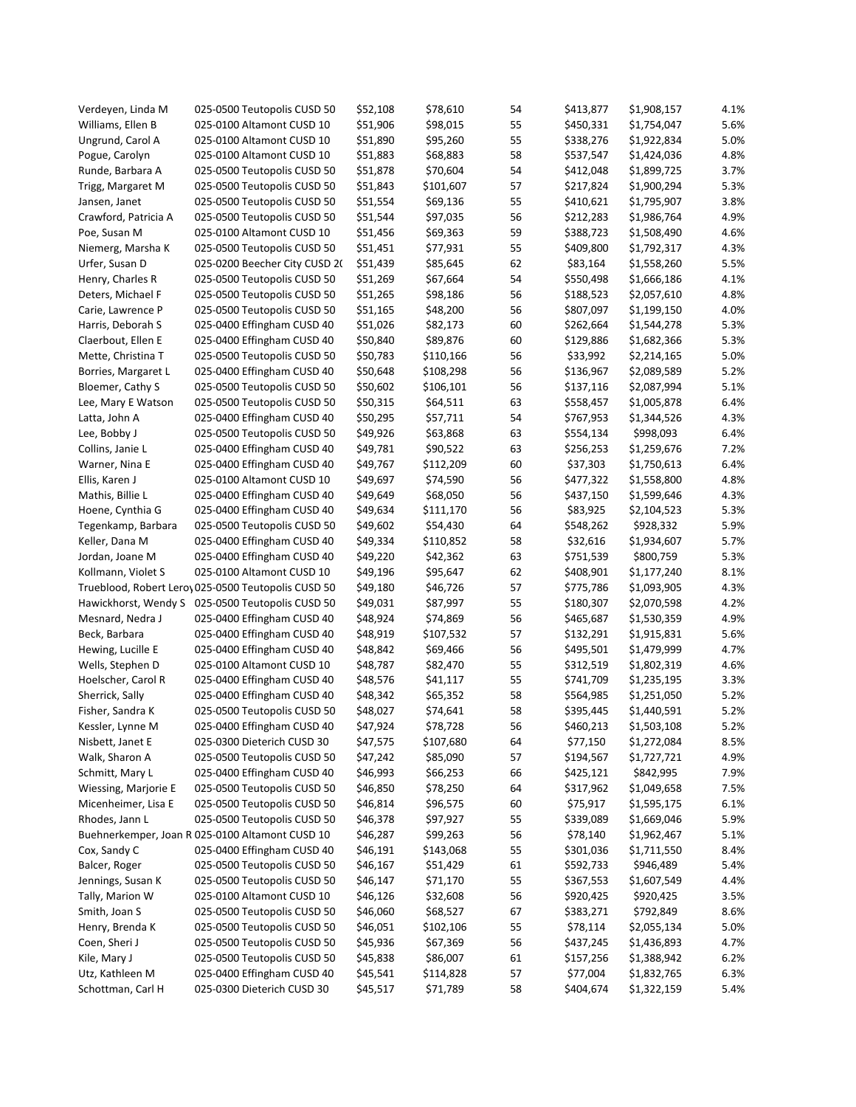| Verdeyen, Linda M                | 025-0500 Teutopolis CUSD 50                         | \$52,108 | \$78,610  | 54 | \$413,877 | \$1,908,157 | 4.1% |
|----------------------------------|-----------------------------------------------------|----------|-----------|----|-----------|-------------|------|
| Williams, Ellen B                | 025-0100 Altamont CUSD 10                           | \$51,906 | \$98,015  | 55 | \$450,331 | \$1,754,047 | 5.6% |
| Ungrund, Carol A                 | 025-0100 Altamont CUSD 10                           | \$51,890 | \$95,260  | 55 | \$338,276 | \$1,922,834 | 5.0% |
| Pogue, Carolyn                   | 025-0100 Altamont CUSD 10                           | \$51,883 | \$68,883  | 58 | \$537,547 | \$1,424,036 | 4.8% |
| Runde, Barbara A                 | 025-0500 Teutopolis CUSD 50                         | \$51,878 | \$70,604  | 54 | \$412,048 | \$1,899,725 | 3.7% |
| Trigg, Margaret M                | 025-0500 Teutopolis CUSD 50                         | \$51,843 | \$101,607 | 57 | \$217,824 | \$1,900,294 | 5.3% |
| Jansen, Janet                    | 025-0500 Teutopolis CUSD 50                         | \$51,554 | \$69,136  | 55 | \$410,621 | \$1,795,907 | 3.8% |
| Crawford, Patricia A             | 025-0500 Teutopolis CUSD 50                         | \$51,544 | \$97,035  | 56 | \$212,283 | \$1,986,764 | 4.9% |
| Poe, Susan M                     | 025-0100 Altamont CUSD 10                           | \$51,456 | \$69,363  | 59 | \$388,723 | \$1,508,490 | 4.6% |
| Niemerg, Marsha K                | 025-0500 Teutopolis CUSD 50                         | \$51,451 | \$77,931  | 55 | \$409,800 | \$1,792,317 | 4.3% |
| Urfer, Susan D                   | 025-0200 Beecher City CUSD 2(                       | \$51,439 | \$85,645  | 62 | \$83,164  | \$1,558,260 | 5.5% |
| Henry, Charles R                 | 025-0500 Teutopolis CUSD 50                         | \$51,269 | \$67,664  | 54 | \$550,498 | \$1,666,186 | 4.1% |
| Deters, Michael F                | 025-0500 Teutopolis CUSD 50                         | \$51,265 | \$98,186  | 56 | \$188,523 | \$2,057,610 | 4.8% |
| Carie, Lawrence P                | 025-0500 Teutopolis CUSD 50                         | \$51,165 | \$48,200  | 56 | \$807,097 | \$1,199,150 | 4.0% |
| Harris, Deborah S                | 025-0400 Effingham CUSD 40                          | \$51,026 | \$82,173  | 60 | \$262,664 | \$1,544,278 | 5.3% |
| Claerbout, Ellen E               | 025-0400 Effingham CUSD 40                          | \$50,840 | \$89,876  | 60 | \$129,886 | \$1,682,366 | 5.3% |
| Mette, Christina T               | 025-0500 Teutopolis CUSD 50                         | \$50,783 | \$110,166 | 56 | \$33,992  | \$2,214,165 | 5.0% |
| Borries, Margaret L              | 025-0400 Effingham CUSD 40                          | \$50,648 | \$108,298 | 56 | \$136,967 | \$2,089,589 | 5.2% |
| Bloemer, Cathy S                 | 025-0500 Teutopolis CUSD 50                         | \$50,602 | \$106,101 | 56 | \$137,116 | \$2,087,994 | 5.1% |
| Lee, Mary E Watson               | 025-0500 Teutopolis CUSD 50                         | \$50,315 | \$64,511  | 63 | \$558,457 | \$1,005,878 | 6.4% |
| Latta, John A                    | 025-0400 Effingham CUSD 40                          | \$50,295 | \$57,711  | 54 | \$767,953 | \$1,344,526 | 4.3% |
| Lee, Bobby J                     | 025-0500 Teutopolis CUSD 50                         | \$49,926 | \$63,868  | 63 | \$554,134 | \$998,093   | 6.4% |
| Collins, Janie L                 | 025-0400 Effingham CUSD 40                          | \$49,781 | \$90,522  | 63 | \$256,253 | \$1,259,676 | 7.2% |
|                                  |                                                     |          |           | 60 |           |             | 6.4% |
| Warner, Nina E<br>Ellis, Karen J | 025-0400 Effingham CUSD 40                          | \$49,767 | \$112,209 | 56 | \$37,303  | \$1,750,613 |      |
|                                  | 025-0100 Altamont CUSD 10                           | \$49,697 | \$74,590  |    | \$477,322 | \$1,558,800 | 4.8% |
| Mathis, Billie L                 | 025-0400 Effingham CUSD 40                          | \$49,649 | \$68,050  | 56 | \$437,150 | \$1,599,646 | 4.3% |
| Hoene, Cynthia G                 | 025-0400 Effingham CUSD 40                          | \$49,634 | \$111,170 | 56 | \$83,925  | \$2,104,523 | 5.3% |
| Tegenkamp, Barbara               | 025-0500 Teutopolis CUSD 50                         | \$49,602 | \$54,430  | 64 | \$548,262 | \$928,332   | 5.9% |
| Keller, Dana M                   | 025-0400 Effingham CUSD 40                          | \$49,334 | \$110,852 | 58 | \$32,616  | \$1,934,607 | 5.7% |
| Jordan, Joane M                  | 025-0400 Effingham CUSD 40                          | \$49,220 | \$42,362  | 63 | \$751,539 | \$800,759   | 5.3% |
| Kollmann, Violet S               | 025-0100 Altamont CUSD 10                           | \$49,196 | \$95,647  | 62 | \$408,901 | \$1,177,240 | 8.1% |
|                                  | Trueblood, Robert Lero, 025-0500 Teutopolis CUSD 50 | \$49,180 | \$46,726  | 57 | \$775,786 | \$1,093,905 | 4.3% |
| Hawickhorst, Wendy S             | 025-0500 Teutopolis CUSD 50                         | \$49,031 | \$87,997  | 55 | \$180,307 | \$2,070,598 | 4.2% |
| Mesnard, Nedra J                 | 025-0400 Effingham CUSD 40                          | \$48,924 | \$74,869  | 56 | \$465,687 | \$1,530,359 | 4.9% |
| Beck, Barbara                    | 025-0400 Effingham CUSD 40                          | \$48,919 | \$107,532 | 57 | \$132,291 | \$1,915,831 | 5.6% |
| Hewing, Lucille E                | 025-0400 Effingham CUSD 40                          | \$48,842 | \$69,466  | 56 | \$495,501 | \$1,479,999 | 4.7% |
| Wells, Stephen D                 | 025-0100 Altamont CUSD 10                           | \$48,787 | \$82,470  | 55 | \$312,519 | \$1,802,319 | 4.6% |
| Hoelscher, Carol R               | 025-0400 Effingham CUSD 40                          | \$48,576 | \$41,117  | 55 | \$741,709 | \$1,235,195 | 3.3% |
| Sherrick, Sally                  | 025-0400 Effingham CUSD 40                          | \$48,342 | \$65,352  | 58 | \$564,985 | \$1,251,050 | 5.2% |
| Fisher, Sandra K                 | 025-0500 Teutopolis CUSD 50                         | \$48,027 | \$74,641  | 58 | \$395,445 | \$1,440,591 | 5.2% |
| Kessler, Lynne M                 | 025-0400 Effingham CUSD 40                          | \$47,924 | \$78,728  | 56 | \$460,213 | \$1,503,108 | 5.2% |
| Nisbett, Janet E                 | 025-0300 Dieterich CUSD 30                          | \$47,575 | \$107,680 | 64 | \$77,150  | \$1,272,084 | 8.5% |
| Walk, Sharon A                   | 025-0500 Teutopolis CUSD 50                         | \$47,242 | \$85,090  | 57 | \$194,567 | \$1,727,721 | 4.9% |
| Schmitt, Mary L                  | 025-0400 Effingham CUSD 40                          | \$46,993 | \$66,253  | 66 | \$425,121 | \$842,995   | 7.9% |
| Wiessing, Marjorie E             | 025-0500 Teutopolis CUSD 50                         | \$46,850 | \$78,250  | 64 | \$317,962 | \$1,049,658 | 7.5% |
| Micenheimer, Lisa E              | 025-0500 Teutopolis CUSD 50                         | \$46,814 | \$96,575  | 60 | \$75,917  | \$1,595,175 | 6.1% |
| Rhodes, Jann L                   | 025-0500 Teutopolis CUSD 50                         | \$46,378 | \$97,927  | 55 | \$339,089 | \$1,669,046 | 5.9% |
|                                  | Buehnerkemper, Joan R 025-0100 Altamont CUSD 10     | \$46,287 | \$99,263  | 56 | \$78,140  | \$1,962,467 | 5.1% |
| Cox, Sandy C                     | 025-0400 Effingham CUSD 40                          | \$46,191 | \$143,068 | 55 | \$301,036 | \$1,711,550 | 8.4% |
| Balcer, Roger                    | 025-0500 Teutopolis CUSD 50                         | \$46,167 | \$51,429  | 61 | \$592,733 | \$946,489   | 5.4% |
| Jennings, Susan K                | 025-0500 Teutopolis CUSD 50                         | \$46,147 | \$71,170  | 55 | \$367,553 | \$1,607,549 | 4.4% |
| Tally, Marion W                  | 025-0100 Altamont CUSD 10                           | \$46,126 | \$32,608  | 56 | \$920,425 | \$920,425   | 3.5% |
| Smith, Joan S                    | 025-0500 Teutopolis CUSD 50                         | \$46,060 | \$68,527  | 67 | \$383,271 | \$792,849   | 8.6% |
| Henry, Brenda K                  | 025-0500 Teutopolis CUSD 50                         | \$46,051 | \$102,106 | 55 | \$78,114  | \$2,055,134 | 5.0% |
| Coen, Sheri J                    | 025-0500 Teutopolis CUSD 50                         | \$45,936 | \$67,369  | 56 | \$437,245 | \$1,436,893 | 4.7% |
| Kile, Mary J                     | 025-0500 Teutopolis CUSD 50                         | \$45,838 | \$86,007  | 61 | \$157,256 | \$1,388,942 | 6.2% |
| Utz, Kathleen M                  | 025-0400 Effingham CUSD 40                          | \$45,541 | \$114,828 | 57 | \$77,004  | \$1,832,765 | 6.3% |
| Schottman, Carl H                | 025-0300 Dieterich CUSD 30                          | \$45,517 | \$71,789  | 58 | \$404,674 | \$1,322,159 | 5.4% |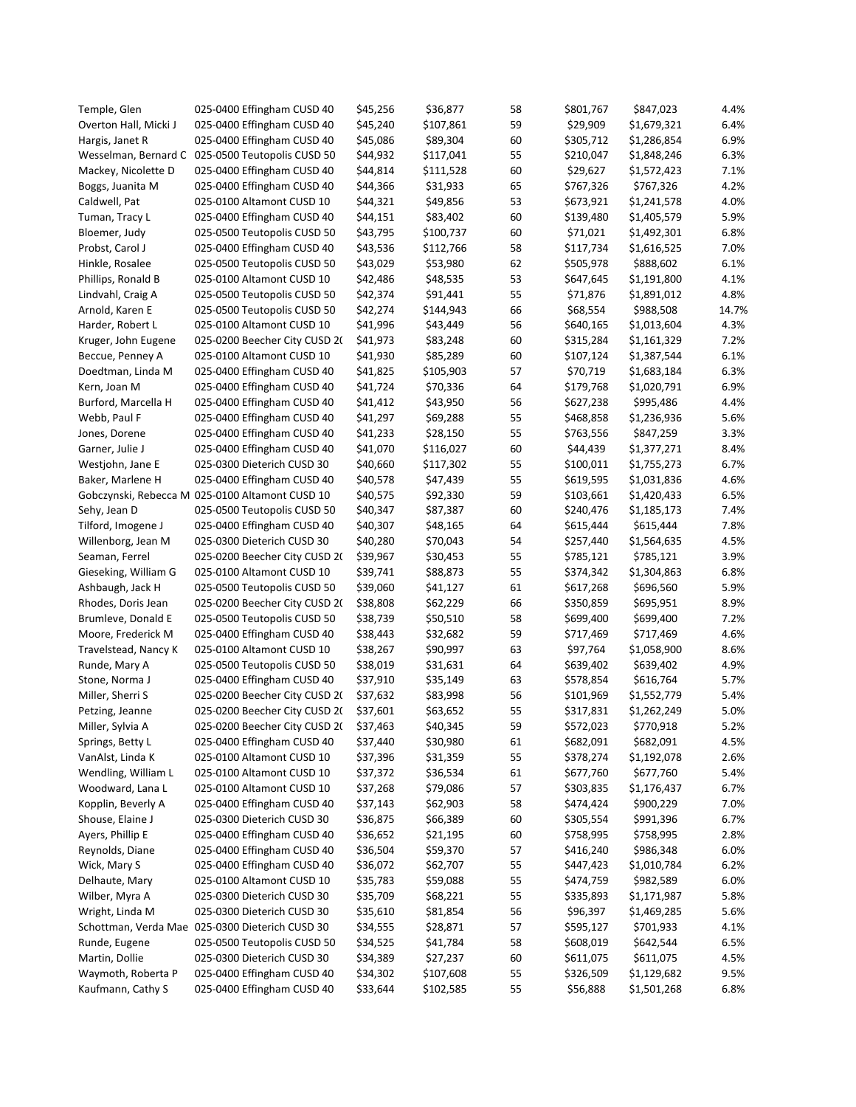| Temple, Glen          | 025-0400 Effingham CUSD 40                       | \$45,256 | \$36,877  | 58       | \$801,767 | \$847,023   | 4.4%  |
|-----------------------|--------------------------------------------------|----------|-----------|----------|-----------|-------------|-------|
| Overton Hall, Micki J | 025-0400 Effingham CUSD 40                       | \$45,240 | \$107,861 | 59       | \$29,909  | \$1,679,321 | 6.4%  |
| Hargis, Janet R       | 025-0400 Effingham CUSD 40                       | \$45,086 | \$89,304  | 60       | \$305,712 | \$1,286,854 | 6.9%  |
|                       | Wesselman, Bernard C 025-0500 Teutopolis CUSD 50 | \$44,932 | \$117,041 | 55       | \$210,047 | \$1,848,246 | 6.3%  |
| Mackey, Nicolette D   | 025-0400 Effingham CUSD 40                       | \$44,814 | \$111,528 | 60       | \$29,627  | \$1,572,423 | 7.1%  |
| Boggs, Juanita M      | 025-0400 Effingham CUSD 40                       | \$44,366 | \$31,933  | 65       | \$767,326 | \$767,326   | 4.2%  |
| Caldwell, Pat         | 025-0100 Altamont CUSD 10                        | \$44,321 | \$49,856  | 53       | \$673,921 | \$1,241,578 | 4.0%  |
| Tuman, Tracy L        | 025-0400 Effingham CUSD 40                       | \$44,151 | \$83,402  | 60       | \$139,480 | \$1,405,579 | 5.9%  |
| Bloemer, Judy         | 025-0500 Teutopolis CUSD 50                      | \$43,795 | \$100,737 | 60       | \$71,021  | \$1,492,301 | 6.8%  |
| Probst, Carol J       | 025-0400 Effingham CUSD 40                       | \$43,536 | \$112,766 | 58       | \$117,734 | \$1,616,525 | 7.0%  |
| Hinkle, Rosalee       | 025-0500 Teutopolis CUSD 50                      | \$43,029 | \$53,980  | 62       | \$505,978 | \$888,602   | 6.1%  |
| Phillips, Ronald B    | 025-0100 Altamont CUSD 10                        | \$42,486 | \$48,535  | 53       | \$647,645 | \$1,191,800 | 4.1%  |
| Lindvahl, Craig A     | 025-0500 Teutopolis CUSD 50                      | \$42,374 | \$91,441  | 55       | \$71,876  | \$1,891,012 | 4.8%  |
| Arnold, Karen E       | 025-0500 Teutopolis CUSD 50                      | \$42,274 | \$144,943 | 66       | \$68,554  | \$988,508   | 14.7% |
| Harder, Robert L      | 025-0100 Altamont CUSD 10                        | \$41,996 | \$43,449  | 56       | \$640,165 | \$1,013,604 | 4.3%  |
| Kruger, John Eugene   | 025-0200 Beecher City CUSD 20                    | \$41,973 | \$83,248  | 60       | \$315,284 | \$1,161,329 | 7.2%  |
| Beccue, Penney A      | 025-0100 Altamont CUSD 10                        | \$41,930 | \$85,289  | 60       | \$107,124 | \$1,387,544 | 6.1%  |
| Doedtman, Linda M     | 025-0400 Effingham CUSD 40                       | \$41,825 | \$105,903 | 57       | \$70,719  | \$1,683,184 | 6.3%  |
| Kern, Joan M          | 025-0400 Effingham CUSD 40                       | \$41,724 | \$70,336  | 64       | \$179,768 | \$1,020,791 | 6.9%  |
| Burford, Marcella H   | 025-0400 Effingham CUSD 40                       | \$41,412 | \$43,950  | 56       | \$627,238 | \$995,486   | 4.4%  |
| Webb, Paul F          | 025-0400 Effingham CUSD 40                       | \$41,297 | \$69,288  | 55       | \$468,858 | \$1,236,936 | 5.6%  |
| Jones, Dorene         | 025-0400 Effingham CUSD 40                       | \$41,233 | \$28,150  | 55       | \$763,556 | \$847,259   | 3.3%  |
| Garner, Julie J       | 025-0400 Effingham CUSD 40                       | \$41,070 | \$116,027 | 60       | \$44,439  | \$1,377,271 | 8.4%  |
|                       | 025-0300 Dieterich CUSD 30                       | \$40,660 | \$117,302 | 55       | \$100,011 | \$1,755,273 | 6.7%  |
| Westjohn, Jane E      | 025-0400 Effingham CUSD 40                       | \$40,578 | \$47,439  | 55       | \$619,595 | \$1,031,836 | 4.6%  |
| Baker, Marlene H      | Gobczynski, Rebecca M 025-0100 Altamont CUSD 10  |          |           |          | \$103,661 |             | 6.5%  |
|                       |                                                  | \$40,575 | \$92,330  | 59<br>60 |           | \$1,420,433 | 7.4%  |
| Sehy, Jean D          | 025-0500 Teutopolis CUSD 50                      | \$40,347 | \$87,387  |          | \$240,476 | \$1,185,173 |       |
| Tilford, Imogene J    | 025-0400 Effingham CUSD 40                       | \$40,307 | \$48,165  | 64       | \$615,444 | \$615,444   | 7.8%  |
| Willenborg, Jean M    | 025-0300 Dieterich CUSD 30                       | \$40,280 | \$70,043  | 54       | \$257,440 | \$1,564,635 | 4.5%  |
| Seaman, Ferrel        | 025-0200 Beecher City CUSD 2(                    | \$39,967 | \$30,453  | 55       | \$785,121 | \$785,121   | 3.9%  |
| Gieseking, William G  | 025-0100 Altamont CUSD 10                        | \$39,741 | \$88,873  | 55       | \$374,342 | \$1,304,863 | 6.8%  |
| Ashbaugh, Jack H      | 025-0500 Teutopolis CUSD 50                      | \$39,060 | \$41,127  | 61       | \$617,268 | \$696,560   | 5.9%  |
| Rhodes, Doris Jean    | 025-0200 Beecher City CUSD 2(                    | \$38,808 | \$62,229  | 66       | \$350,859 | \$695,951   | 8.9%  |
| Brumleve, Donald E    | 025-0500 Teutopolis CUSD 50                      | \$38,739 | \$50,510  | 58       | \$699,400 | \$699,400   | 7.2%  |
| Moore, Frederick M    | 025-0400 Effingham CUSD 40                       | \$38,443 | \$32,682  | 59       | \$717,469 | \$717,469   | 4.6%  |
| Travelstead, Nancy K  | 025-0100 Altamont CUSD 10                        | \$38,267 | \$90,997  | 63       | \$97,764  | \$1,058,900 | 8.6%  |
| Runde, Mary A         | 025-0500 Teutopolis CUSD 50                      | \$38,019 | \$31,631  | 64       | \$639,402 | \$639,402   | 4.9%  |
| Stone, Norma J        | 025-0400 Effingham CUSD 40                       | \$37,910 | \$35,149  | 63       | \$578,854 | \$616,764   | 5.7%  |
| Miller, Sherri S      | 025-0200 Beecher City CUSD 2(                    | \$37,632 | \$83,998  | 56       | \$101,969 | \$1,552,779 | 5.4%  |
| Petzing, Jeanne       | 025-0200 Beecher City CUSD 2(                    | \$37,601 | \$63,652  | 55       | \$317,831 | \$1,262,249 | 5.0%  |
| Miller, Sylvia A      | 025-0200 Beecher City CUSD 2(                    | \$37,463 | \$40,345  | 59       | \$572,023 | \$770,918   | 5.2%  |
| Springs, Betty L      | 025-0400 Effingham CUSD 40                       | \$37,440 | \$30,980  | 61       | \$682,091 | \$682,091   | 4.5%  |
| VanAlst, Linda K      | 025-0100 Altamont CUSD 10                        | \$37,396 | \$31,359  | 55       | \$378,274 | \$1,192,078 | 2.6%  |
| Wendling, William L   | 025-0100 Altamont CUSD 10                        | \$37,372 | \$36,534  | 61       | \$677,760 | \$677,760   | 5.4%  |
| Woodward, Lana L      | 025-0100 Altamont CUSD 10                        | \$37,268 | \$79,086  | 57       | \$303,835 | \$1,176,437 | 6.7%  |
| Kopplin, Beverly A    | 025-0400 Effingham CUSD 40                       | \$37,143 | \$62,903  | 58       | \$474,424 | \$900,229   | 7.0%  |
| Shouse, Elaine J      | 025-0300 Dieterich CUSD 30                       | \$36,875 | \$66,389  | 60       | \$305,554 | \$991,396   | 6.7%  |
| Ayers, Phillip E      | 025-0400 Effingham CUSD 40                       | \$36,652 | \$21,195  | 60       | \$758,995 | \$758,995   | 2.8%  |
| Reynolds, Diane       | 025-0400 Effingham CUSD 40                       | \$36,504 | \$59,370  | 57       | \$416,240 | \$986,348   | 6.0%  |
| Wick, Mary S          | 025-0400 Effingham CUSD 40                       | \$36,072 | \$62,707  | 55       | \$447,423 | \$1,010,784 | 6.2%  |
| Delhaute, Mary        | 025-0100 Altamont CUSD 10                        | \$35,783 | \$59,088  | 55       | \$474,759 | \$982,589   | 6.0%  |
| Wilber, Myra A        | 025-0300 Dieterich CUSD 30                       | \$35,709 | \$68,221  | 55       | \$335,893 | \$1,171,987 | 5.8%  |
| Wright, Linda M       | 025-0300 Dieterich CUSD 30                       | \$35,610 | \$81,854  | 56       | \$96,397  | \$1,469,285 | 5.6%  |
|                       | Schottman, Verda Mae 025-0300 Dieterich CUSD 30  | \$34,555 | \$28,871  | 57       | \$595,127 | \$701,933   | 4.1%  |
| Runde, Eugene         | 025-0500 Teutopolis CUSD 50                      | \$34,525 | \$41,784  | 58       | \$608,019 | \$642,544   | 6.5%  |
| Martin, Dollie        | 025-0300 Dieterich CUSD 30                       | \$34,389 | \$27,237  | 60       | \$611,075 | \$611,075   | 4.5%  |
| Waymoth, Roberta P    | 025-0400 Effingham CUSD 40                       | \$34,302 | \$107,608 | 55       | \$326,509 | \$1,129,682 | 9.5%  |
| Kaufmann, Cathy S     | 025-0400 Effingham CUSD 40                       | \$33,644 | \$102,585 | 55       | \$56,888  | \$1,501,268 | 6.8%  |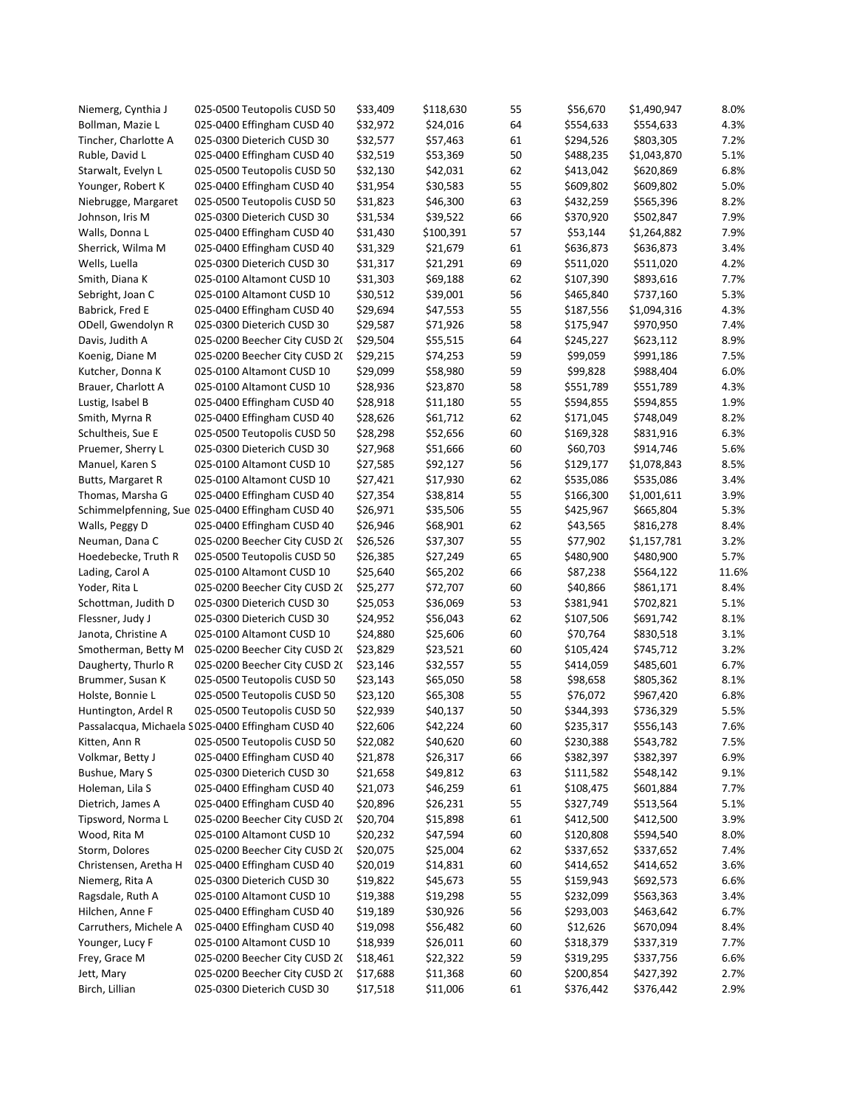| Niemerg, Cynthia J    | 025-0500 Teutopolis CUSD 50                              | \$33,409             | \$118,630            | 55       | \$56,670               | \$1,490,947            | 8.0%  |
|-----------------------|----------------------------------------------------------|----------------------|----------------------|----------|------------------------|------------------------|-------|
| Bollman, Mazie L      | 025-0400 Effingham CUSD 40                               | \$32,972             | \$24,016             | 64       | \$554,633              | \$554,633              | 4.3%  |
| Tincher, Charlotte A  | 025-0300 Dieterich CUSD 30                               | \$32,577             | \$57,463             | 61       | \$294,526              | \$803,305              | 7.2%  |
| Ruble, David L        | 025-0400 Effingham CUSD 40                               | \$32,519             | \$53,369             | 50       | \$488,235              | \$1,043,870            | 5.1%  |
| Starwalt, Evelyn L    | 025-0500 Teutopolis CUSD 50                              | \$32,130             | \$42,031             | 62       | \$413,042              | \$620,869              | 6.8%  |
| Younger, Robert K     | 025-0400 Effingham CUSD 40                               | \$31,954             | \$30,583             | 55       | \$609,802              | \$609,802              | 5.0%  |
| Niebrugge, Margaret   | 025-0500 Teutopolis CUSD 50                              | \$31,823             | \$46,300             | 63       | \$432,259              | \$565,396              | 8.2%  |
| Johnson, Iris M       | 025-0300 Dieterich CUSD 30                               | \$31,534             | \$39,522             | 66       | \$370,920              | \$502,847              | 7.9%  |
| Walls, Donna L        | 025-0400 Effingham CUSD 40                               | \$31,430             | \$100,391            | 57       | \$53,144               | \$1,264,882            | 7.9%  |
| Sherrick, Wilma M     | 025-0400 Effingham CUSD 40                               | \$31,329             | \$21,679             | 61       | \$636,873              | \$636,873              | 3.4%  |
| Wells, Luella         | 025-0300 Dieterich CUSD 30                               | \$31,317             | \$21,291             | 69       | \$511,020              | \$511,020              | 4.2%  |
| Smith, Diana K        | 025-0100 Altamont CUSD 10                                | \$31,303             | \$69,188             | 62       | \$107,390              | \$893,616              | 7.7%  |
| Sebright, Joan C      | 025-0100 Altamont CUSD 10                                | \$30,512             | \$39,001             | 56       | \$465,840              | \$737,160              | 5.3%  |
| Babrick, Fred E       | 025-0400 Effingham CUSD 40                               | \$29,694             | \$47,553             | 55       | \$187,556              | \$1,094,316            | 4.3%  |
| ODell, Gwendolyn R    | 025-0300 Dieterich CUSD 30                               | \$29,587             | \$71,926             | 58       | \$175,947              | \$970,950              | 7.4%  |
| Davis, Judith A       | 025-0200 Beecher City CUSD 2(                            | \$29,504             | \$55,515             | 64       | \$245,227              | \$623,112              | 8.9%  |
| Koenig, Diane M       | 025-0200 Beecher City CUSD 20                            | \$29,215             | \$74,253             | 59       | \$99,059               | \$991,186              | 7.5%  |
| Kutcher, Donna K      | 025-0100 Altamont CUSD 10                                | \$29,099             | \$58,980             | 59       | \$99,828               | \$988,404              | 6.0%  |
| Brauer, Charlott A    | 025-0100 Altamont CUSD 10                                | \$28,936             | \$23,870             | 58       | \$551,789              | \$551,789              | 4.3%  |
| Lustig, Isabel B      | 025-0400 Effingham CUSD 40                               | \$28,918             | \$11,180             | 55       | \$594,855              | \$594,855              | 1.9%  |
| Smith, Myrna R        | 025-0400 Effingham CUSD 40                               | \$28,626             | \$61,712             | 62       | \$171,045              | \$748,049              | 8.2%  |
| Schultheis, Sue E     | 025-0500 Teutopolis CUSD 50                              | \$28,298             | \$52,656             | 60       | \$169,328              | \$831,916              | 6.3%  |
| Pruemer, Sherry L     | 025-0300 Dieterich CUSD 30                               | \$27,968             | \$51,666             | 60       | \$60,703               | \$914,746              | 5.6%  |
| Manuel, Karen S       | 025-0100 Altamont CUSD 10                                | \$27,585             | \$92,127             | 56       | \$129,177              | \$1,078,843            | 8.5%  |
| Butts, Margaret R     | 025-0100 Altamont CUSD 10                                | \$27,421             | \$17,930             | 62       | \$535,086              | \$535,086              | 3.4%  |
| Thomas, Marsha G      | 025-0400 Effingham CUSD 40                               | \$27,354             | \$38,814             | 55       | \$166,300              | \$1,001,611            | 3.9%  |
|                       | Schimmelpfenning, Sue 025-0400 Effingham CUSD 40         | \$26,971             | \$35,506             | 55       | \$425,967              | \$665,804              | 5.3%  |
| Walls, Peggy D        | 025-0400 Effingham CUSD 40                               | \$26,946             | \$68,901             | 62       | \$43,565               | \$816,278              | 8.4%  |
| Neuman, Dana C        | 025-0200 Beecher City CUSD 20                            | \$26,526             | \$37,307             | 55       | \$77,902               | \$1,157,781            | 3.2%  |
| Hoedebecke, Truth R   | 025-0500 Teutopolis CUSD 50                              | \$26,385             | \$27,249             | 65       | \$480,900              | \$480,900              | 5.7%  |
|                       | 025-0100 Altamont CUSD 10                                | \$25,640             | \$65,202             | 66       | \$87,238               | \$564,122              | 11.6% |
| Lading, Carol A       |                                                          |                      |                      |          |                        |                        | 8.4%  |
| Yoder, Rita L         | 025-0200 Beecher City CUSD 20                            | \$25,277             | \$72,707             | 60       | \$40,866               | \$861,171              | 5.1%  |
| Schottman, Judith D   | 025-0300 Dieterich CUSD 30<br>025-0300 Dieterich CUSD 30 | \$25,053<br>\$24,952 | \$36,069<br>\$56,043 | 53<br>62 | \$381,941<br>\$107,506 | \$702,821<br>\$691,742 | 8.1%  |
| Flessner, Judy J      |                                                          |                      |                      |          |                        |                        | 3.1%  |
| Janota, Christine A   | 025-0100 Altamont CUSD 10                                | \$24,880             | \$25,606             | 60       | \$70,764               | \$830,518              | 3.2%  |
| Smotherman, Betty M   | 025-0200 Beecher City CUSD 2(                            | \$23,829             | \$23,521             | 60       | \$105,424              | \$745,712              |       |
| Daugherty, Thurlo R   | 025-0200 Beecher City CUSD 2(                            | \$23,146             | \$32,557             | 55       | \$414,059              | \$485,601              | 6.7%  |
| Brummer, Susan K      | 025-0500 Teutopolis CUSD 50                              | \$23,143             | \$65,050             | 58       | \$98,658               | \$805,362              | 8.1%  |
| Holste, Bonnie L      | 025-0500 Teutopolis CUSD 50                              | \$23,120             | \$65,308             | 55       | \$76,072               | \$967,420              | 6.8%  |
| Huntington, Ardel R   | 025-0500 Teutopolis CUSD 50                              | \$22,939             | \$40,137             | 50       | \$344,393              | \$736,329              | 5.5%  |
|                       | Passalacqua, Michaela S025-0400 Effingham CUSD 40        | \$22,606             | \$42,224             | 60       | \$235,317              | \$556,143              | 7.6%  |
| Kitten, Ann R         | 025-0500 Teutopolis CUSD 50                              | \$22,082             | \$40,620             | 60       | \$230,388              | \$543,782              | 7.5%  |
| Volkmar, Betty J      | 025-0400 Effingham CUSD 40                               | \$21,878             | \$26,317             | 66       | \$382,397              | \$382,397              | 6.9%  |
| Bushue, Mary S        | 025-0300 Dieterich CUSD 30                               | \$21,658             | \$49,812             | 63       | \$111,582              | \$548,142              | 9.1%  |
| Holeman, Lila S       | 025-0400 Effingham CUSD 40                               | \$21,073             | \$46,259             | 61       | \$108,475              | \$601,884              | 7.7%  |
| Dietrich, James A     | 025-0400 Effingham CUSD 40                               | \$20,896             | \$26,231             | 55       | \$327,749              | \$513,564              | 5.1%  |
| Tipsword, Norma L     | 025-0200 Beecher City CUSD 20                            | \$20,704             | \$15,898             | 61       | \$412,500              | \$412,500              | 3.9%  |
| Wood, Rita M          | 025-0100 Altamont CUSD 10                                | \$20,232             | \$47,594             | 60       | \$120,808              | \$594,540              | 8.0%  |
| Storm, Dolores        | 025-0200 Beecher City CUSD 2(                            | \$20,075             | \$25,004             | 62       | \$337,652              | \$337,652              | 7.4%  |
| Christensen, Aretha H | 025-0400 Effingham CUSD 40                               | \$20,019             | \$14,831             | 60       | \$414,652              | \$414,652              | 3.6%  |
| Niemerg, Rita A       | 025-0300 Dieterich CUSD 30                               | \$19,822             | \$45,673             | 55       | \$159,943              | \$692,573              | 6.6%  |
| Ragsdale, Ruth A      | 025-0100 Altamont CUSD 10                                | \$19,388             | \$19,298             | 55       | \$232,099              | \$563,363              | 3.4%  |
| Hilchen, Anne F       | 025-0400 Effingham CUSD 40                               | \$19,189             | \$30,926             | 56       | \$293,003              | \$463,642              | 6.7%  |
| Carruthers, Michele A | 025-0400 Effingham CUSD 40                               | \$19,098             | \$56,482             | 60       | \$12,626               | \$670,094              | 8.4%  |
| Younger, Lucy F       | 025-0100 Altamont CUSD 10                                | \$18,939             | \$26,011             | 60       | \$318,379              | \$337,319              | 7.7%  |
| Frey, Grace M         | 025-0200 Beecher City CUSD 2(                            | \$18,461             | \$22,322             | 59       | \$319,295              | \$337,756              | 6.6%  |
| Jett, Mary            | 025-0200 Beecher City CUSD 2(                            | \$17,688             | \$11,368             | 60       | \$200,854              | \$427,392              | 2.7%  |
| Birch, Lillian        | 025-0300 Dieterich CUSD 30                               | \$17,518             | \$11,006             | 61       | \$376,442              | \$376,442              | 2.9%  |